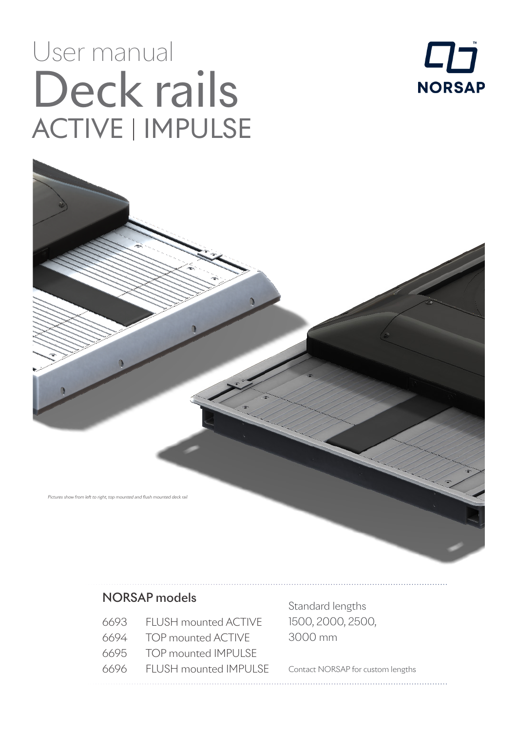# User manual Deck rails ACTIVE | IMPULSE



Pictures show from left to right, top mounted and flush mounted deck rail

#### NORSAP models

- 6693 FLUSH mounted ACTIVE
- 6694 TOP mounted ACTIVE
- 6695 TOP mounted IMPULSE
- 6696 FLUSH mounted IMPULSE

Standard lengths 1500, 2000, 2500, 3000 mm

Contact NORSAP for custom lengths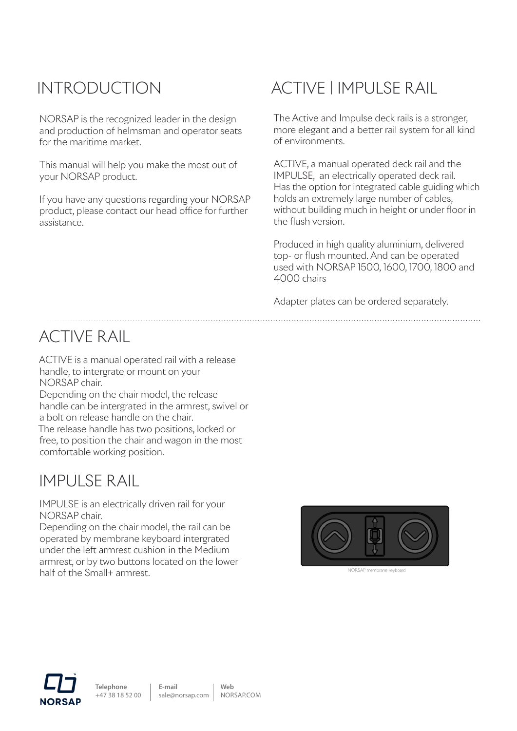### INTRODUCTION

NORSAP is the recognized leader in the design and production of helmsman and operator seats for the maritime market.

This manual will help you make the most out of your NORSAP product.

If you have any questions regarding your NORSAP product, please contact our head office for further assistance.

## ACTIVE | IMPULSE RAIL

The Active and Impulse deck rails is a stronger, more elegant and a better rail system for all kind of environments.

ACTIVE, a manual operated deck rail and the IMPULSE, an electrically operated deck rail. Has the option for integrated cable guiding which holds an extremely large number of cables, without building much in height or under floor in the flush version.

Produced in high quality aluminium, delivered top- or flush mounted. And can be operated used with NORSAP 1500, 1600, 1700, 1800 and 4000 chairs

Adapter plates can be ordered separately.

#### ACTIVE RAIL

ACTIVE is a manual operated rail with a release handle, to intergrate or mount on your NORSAP chair.

Depending on the chair model, the release handle can be intergrated in the armrest, swivel or a bolt on release handle on the chair. The release handle has two positions, locked or free, to position the chair and wagon in the most comfortable working position.

#### IMPULSE RAIL

IMPULSE is an electrically driven rail for your NORSAP chair.

Depending on the chair model, the rail can be operated by membrane keyboard intergrated under the left armrest cushion in the Medium armrest, or by two buttons located on the lower half of the Small+ armrest.





**E-mail**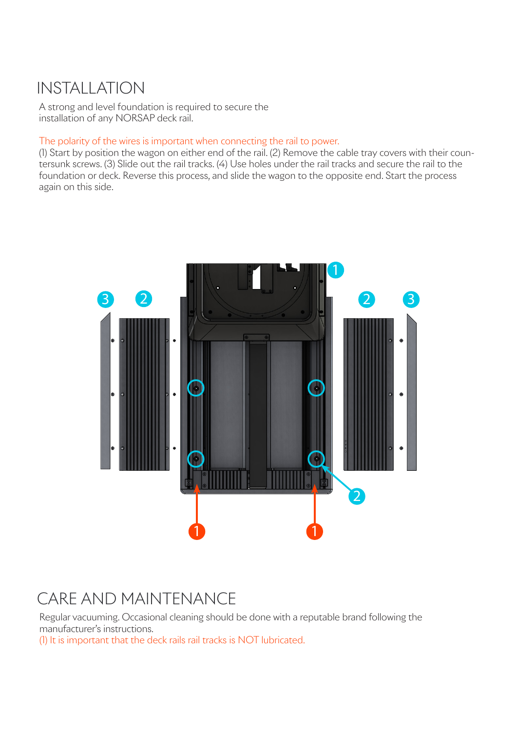#### INSTALLATION

A strong and level foundation is required to secure the installation of any NORSAP deck rail.

#### The polarity of the wires is important when connecting the rail to power.

(1) Start by position the wagon on either end of the rail. (2) Remove the cable tray covers with their countersunk screws. (3) Slide out the rail tracks. (4) Use holes under the rail tracks and secure the rail to the foundation or deck. Reverse this process, and slide the wagon to the opposite end. Start the process again on this side.



#### CARE AND MAINTENANCE

Regular vacuuming. Occasional cleaning should be done with a reputable brand following the manufacturer's instructions.

(1) It is important that the deck rails rail tracks is NOT lubricated.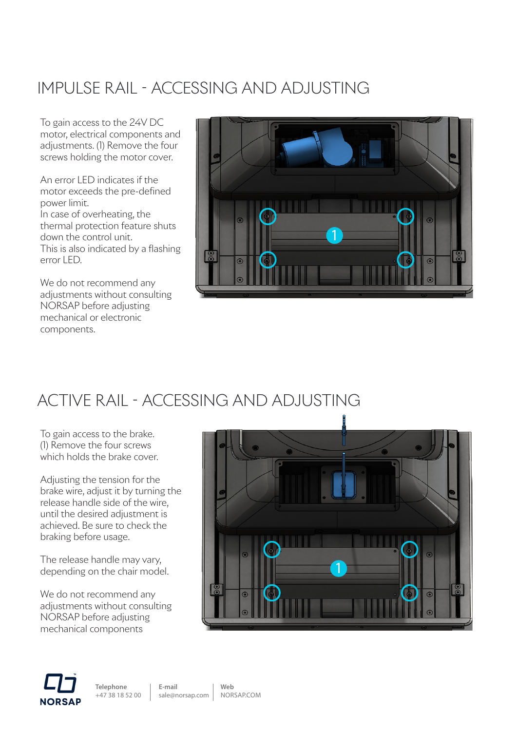### IMPULSE RAIL - ACCESSING AND ADJUSTING

To gain access to the 24V DC motor, electrical components and adjustments. (1) Remove the four screws holding the motor cover.

An error LED indicates if the motor exceeds the pre-defined power limit. In case of overheating, the thermal protection feature shuts down the control unit. This is also indicated by a flashing error LED.

We do not recommend any adjustments without consulting NORSAP before adjusting mechanical or electronic components.



#### ACTIVE RAIL - ACCESSING AND ADJUSTING

To gain access to the brake. (1) Remove the four screws which holds the brake cover.

Adjusting the tension for the brake wire, adjust it by turning the release handle side of the wire, until the desired adjustment is achieved. Be sure to check the braking before usage.

The release handle may vary, depending on the chair model.

We do not recommend any adjustments without consulting NORSAP before adjusting mechanical components

| ۰                                                                                                                                            |         |
|----------------------------------------------------------------------------------------------------------------------------------------------|---------|
| ö.<br>$\bullet$<br>⊝<br>$\odot$<br>$\odot$<br>$\overline{1}$<br>$\overline{\circ}$<br>$  \odot$<br>$\odot$<br>ö<br>$\circledcirc$<br>$\odot$ | $\odot$ |



**Telephone**  +47 38 18 52 00 **E-mail**

**Web**

sale@norsap.com NORSAP.COM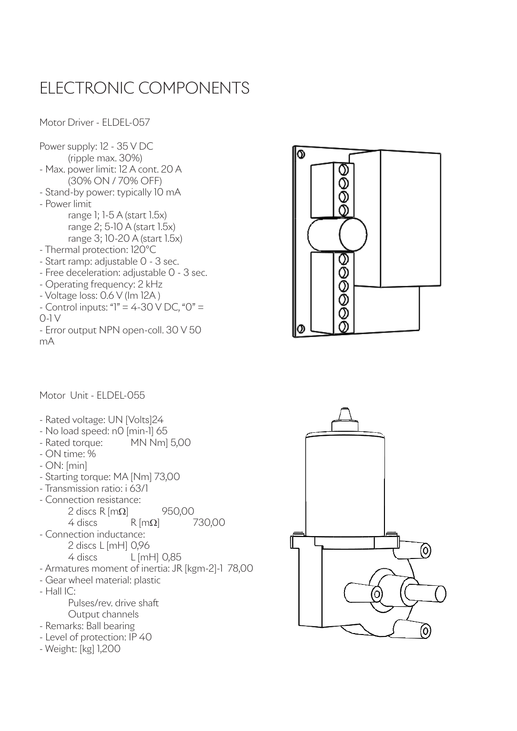#### ELECTRONIC COMPONENTS

Motor Driver - ELDEL-057

Power supply: 12 - 35 V DC (ripple max. 30%) - Max. power limit: 12 A cont. 20 A (30% ON / 70% OFF) - Stand-by power: typically 10 mA - Power limit range 1; 1-5 A (start 1.5x) range 2; 5-10 A (start 1.5x) range 3; 10-20 A (start 1.5x) - Thermal protection: 120°C - Start ramp: adjustable 0 - 3 sec. - Free deceleration: adjustable 0 - 3 sec. - Operating frequency: 2 kHz - Voltage loss: 0.6 V (Im 12A )  $-$  Control inputs: " $1" = 4-30$  V DC, "0" = 0-1 V - Error output NPN open-coll. 30 V 50 mA



Motor Unit - ELDEL-055

- Rated voltage: UN [Volts]24
- No load speed: n0 [min-1] 65
- Rated torque: MN Nm] 5,00
- ON time: %
- ON: [min]
- Starting torque: MA [Nm] 73,00
- Transmission ratio: i 63/1
- Connection resistance: 2 discs R  $[m\Omega]$  950,00<br>4 discs R  $[m\Omega]$  7  $R$   $[m\Omega]$  730,00
- Connection inductance: 2 discs L [mH] 0,96 4 discs L [mH] 0,85 - Armatures moment of inertia: JR [kgm-2]-1 78,00
- Gear wheel material: plastic
- Hall IC:

Pulses/rev. drive shaft Output channels

- Remarks: Ball bearing
- Level of protection: IP 40
- Weight: [kg] 1,200